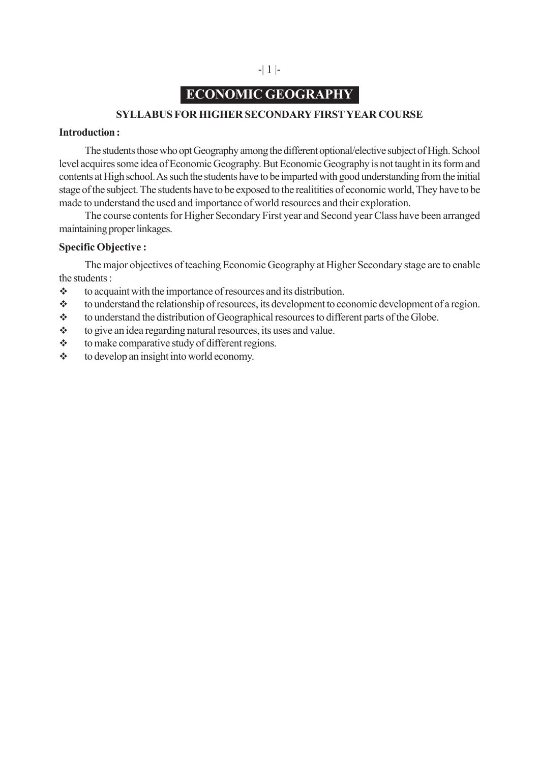# **ECONOMIC GEOGRAPHY**

### **SYLLABUS FOR HIGHER SECONDARY FIRST YEAR COURSE**

#### **Introduction :**

The students those who opt Geography among the different optional/elective subject of High. School level acquires some idea of Economic Geography. But Economic Geography is not taught in its form and contents at High school. As such the students have to be imparted with good understanding from the initial stage of the subject. The students have to be exposed to the realitities of economic world, They have to be made to understand the used and importance of world resources and their exploration.

The course contents for Higher Secondary First year and Second year Class have been arranged maintaining proper linkages.

### **Specific Objective :**

The major objectives of teaching Economic Geography at Higher Secondary stage are to enable the students :

- $\triangle$  to acquaint with the importance of resources and its distribution.
- to understand the relationship of resources, its development to economic development of a region.
- \* to understand the distribution of Geographical resources to different parts of the Globe.
- $\triangle$  to give an idea regarding natural resources, its uses and value.
- $\triangle$  to make comparative study of different regions.
- $\triangleleft$  to develop an insight into world economy.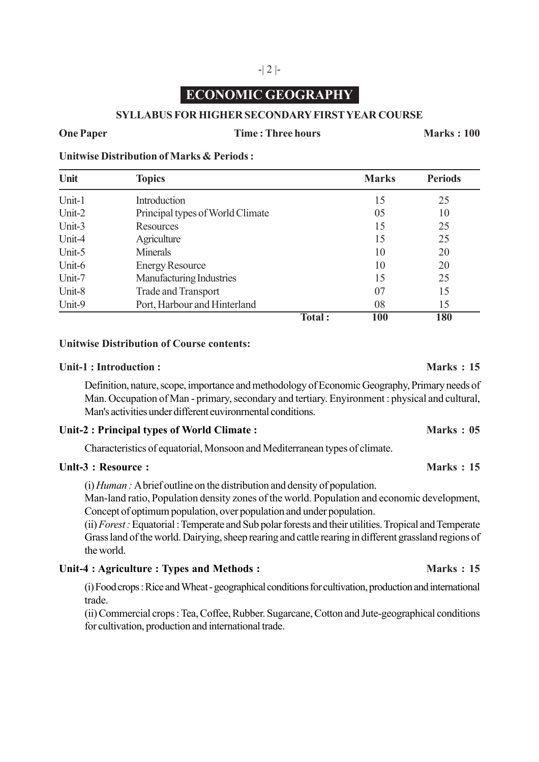# -| 2 |-

# **ECONOMIC GEOGRAPHY**

### **SYLLABUS FOR HIGHER SECONDARY FIRST YEAR COURSE**

#### **One Paper** Time : Three hours **Marks : 100**

#### **Unitwise Distribution of Marks & Periods :**

| Unit   | <b>Topics</b>                    |        | <b>Marks</b> | <b>Periods</b> |
|--------|----------------------------------|--------|--------------|----------------|
| Unit-1 | Introduction                     |        | 15           | 25             |
| Unit-2 | Principal types of World Climate |        | 05           | 10             |
| Unit-3 | Resources                        |        | 15           | 25             |
| Unit-4 | Agriculture                      |        | 15           | 25             |
| Unit-5 | <b>Minerals</b>                  |        | 10           | 20             |
| Unit-6 | <b>Energy Resource</b>           |        | 10           | 20             |
| Unit-7 | Manufacturing Industries         |        | 15           | 25             |
| Unit-8 | <b>Trade and Transport</b>       |        | 07           | 15             |
| Unit-9 | Port, Harbour and Hinterland     |        | 08           | 15             |
|        |                                  | Total: | 100          | 180            |

#### **Unitwise Distribution of Course contents:**

#### **Unit-1 : Introduction : Marks : 15**

Definition, nature, scope, importance and methodology of Economic Geography, Primary needs of Man. Occupation of Man - primary, secondary and tertiary. Enyironment : physical and cultural, Man's activities under different euvironrnental conditions.

#### Unit-2 : Principal types of World Climate : **Marks : 05** Marks : 05

Characteristics of equatorial, Monsoon and Mediterranean types of climate.

### **Unlt-3 : Resource : Marks : 15**

(i) *Human :* A brief outline on the distribution and density of population.

Man-land ratio, Population density zones of the world. Population and economic development, Concept of optimum population, over population and under population.

(ii) *Forest :* Equatorial : Temperate and Sub polar forests and their utilities. Tropical and Temperate Grass land of the world. Dairying, sheep rearing and cattle rearing in different grassland regions of the world.

### Unit-4 : Agriculture : Types and Methods : **Marks : 15**

(i) Food crops : Rice and Wheat - geographical conditions for cultivation, production and international trade.

(ii) Commercial crops : Tea, Coffee, Rubber. Sugarcane, Cotton and Jute-geographical conditions for cultivation, production and international trade.